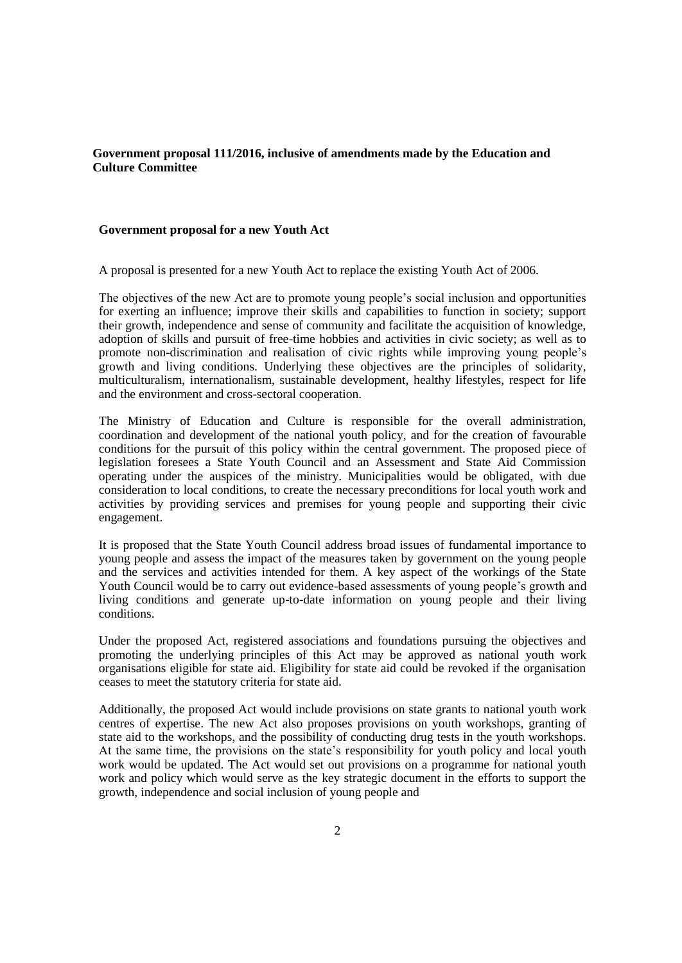## **Government proposal 111/2016, inclusive of amendments made by the Education and Culture Committee**

## **Government proposal for a new Youth Act**

A proposal is presented for a new Youth Act to replace the existing Youth Act of 2006.

The objectives of the new Act are to promote young people's social inclusion and opportunities for exerting an influence; improve their skills and capabilities to function in society; support their growth, independence and sense of community and facilitate the acquisition of knowledge, adoption of skills and pursuit of free-time hobbies and activities in civic society; as well as to promote non-discrimination and realisation of civic rights while improving young people's growth and living conditions. Underlying these objectives are the principles of solidarity, multiculturalism, internationalism, sustainable development, healthy lifestyles, respect for life and the environment and cross-sectoral cooperation.

The Ministry of Education and Culture is responsible for the overall administration, coordination and development of the national youth policy, and for the creation of favourable conditions for the pursuit of this policy within the central government. The proposed piece of legislation foresees a State Youth Council and an Assessment and State Aid Commission operating under the auspices of the ministry. Municipalities would be obligated, with due consideration to local conditions, to create the necessary preconditions for local youth work and activities by providing services and premises for young people and supporting their civic engagement.

It is proposed that the State Youth Council address broad issues of fundamental importance to young people and assess the impact of the measures taken by government on the young people and the services and activities intended for them. A key aspect of the workings of the State Youth Council would be to carry out evidence-based assessments of young people's growth and living conditions and generate up-to-date information on young people and their living conditions.

Under the proposed Act, registered associations and foundations pursuing the objectives and promoting the underlying principles of this Act may be approved as national youth work organisations eligible for state aid. Eligibility for state aid could be revoked if the organisation ceases to meet the statutory criteria for state aid.

Additionally, the proposed Act would include provisions on state grants to national youth work centres of expertise. The new Act also proposes provisions on youth workshops, granting of state aid to the workshops, and the possibility of conducting drug tests in the youth workshops. At the same time, the provisions on the state's responsibility for youth policy and local youth work would be updated. The Act would set out provisions on a programme for national youth work and policy which would serve as the key strategic document in the efforts to support the growth, independence and social inclusion of young people and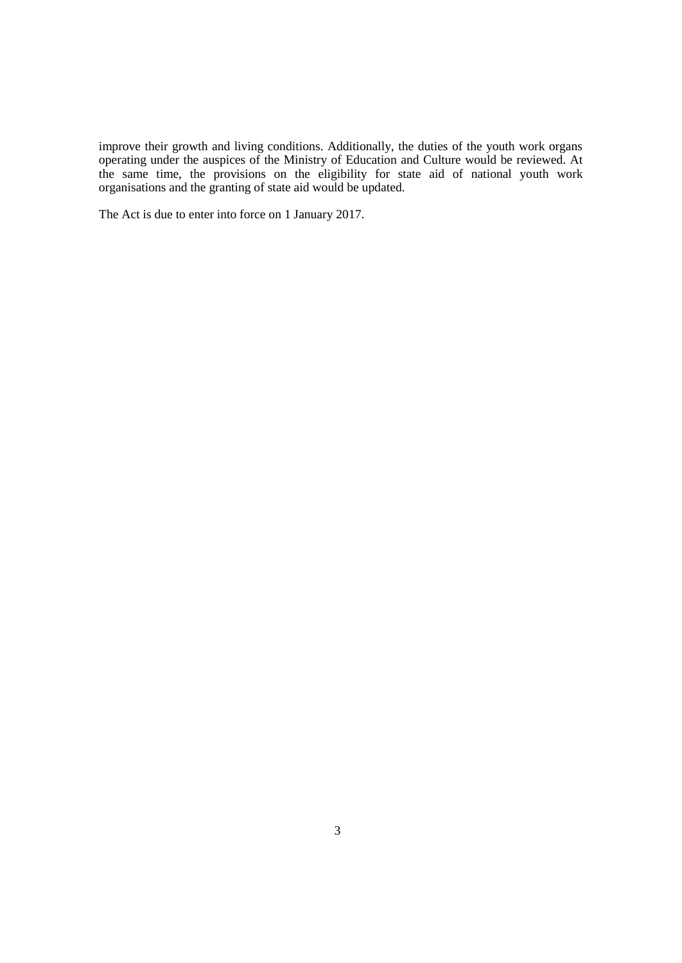improve their growth and living conditions. Additionally, the duties of the youth work organs operating under the auspices of the Ministry of Education and Culture would be reviewed. At the same time, the provisions on the eligibility for state aid of national youth work organisations and the granting of state aid would be updated.

The Act is due to enter into force on 1 January 2017.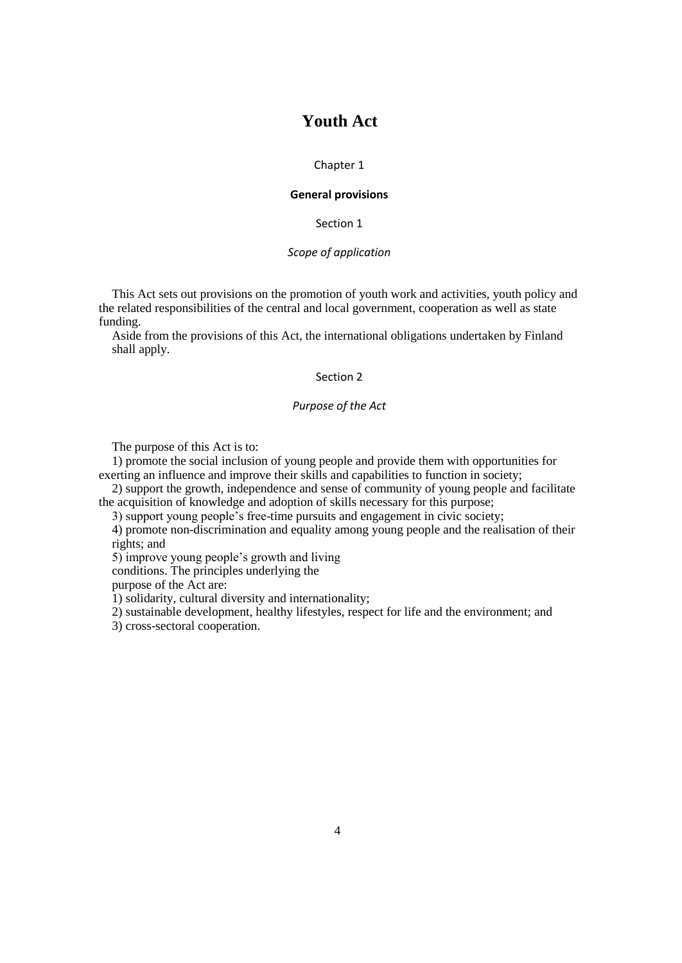# **Youth Act**

## Chapter 1

## **General provisions**

Section 1

## *Scope of application*

This Act sets out provisions on the promotion of youth work and activities, youth policy and the related responsibilities of the central and local government, cooperation as well as state funding.

Aside from the provisions of this Act, the international obligations undertaken by Finland shall apply.

## Section 2

## *Purpose of the Act*

The purpose of this Act is to:

1) promote the social inclusion of young people and provide them with opportunities for exerting an influence and improve their skills and capabilities to function in society;

2) support the growth, independence and sense of community of young people and facilitate the acquisition of knowledge and adoption of skills necessary for this purpose;

3) support young people's free-time pursuits and engagement in civic society;

4) promote non-discrimination and equality among young people and the realisation of their rights; and

5) improve young people's growth and living

conditions. The principles underlying the

purpose of the Act are:

1) solidarity, cultural diversity and internationality;

2) sustainable development, healthy lifestyles, respect for life and the environment; and

3) cross-sectoral cooperation.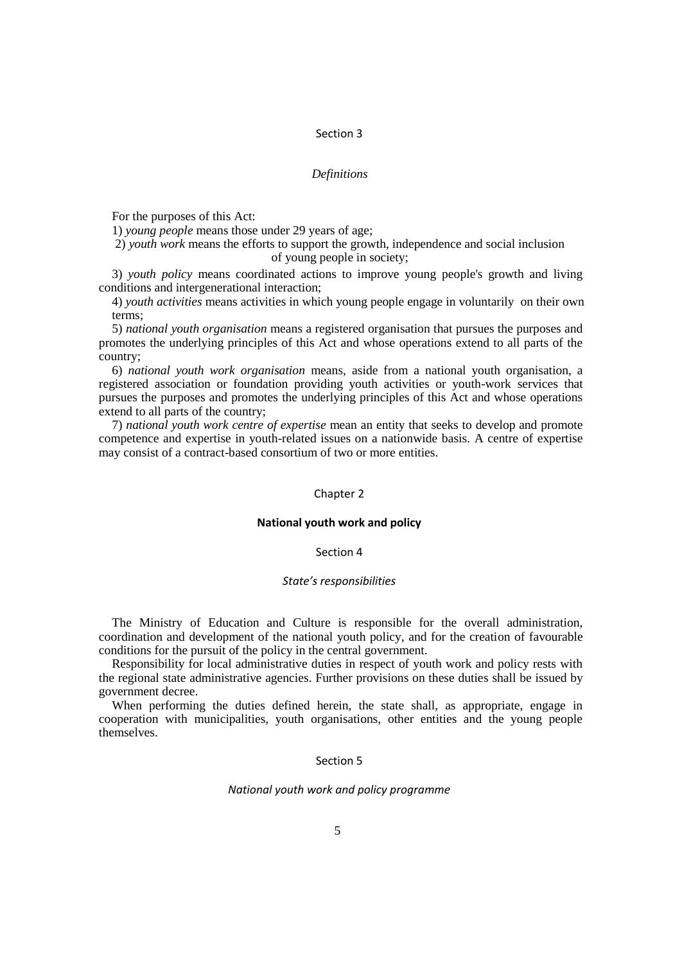## Section 3

## *Definitions*

For the purposes of this Act:

1) *young people* means those under 29 years of age;

2) *youth work* means the efforts to support the growth, independence and social inclusion of young people in society;

3) *youth policy* means coordinated actions to improve young people's growth and living conditions and intergenerational interaction;

4) *youth activities* means activities in which young people engage in voluntarily on their own terms;

5) *national youth organisation* means a registered organisation that pursues the purposes and promotes the underlying principles of this Act and whose operations extend to all parts of the country;

6) *national youth work organisation* means, aside from a national youth organisation, a registered association or foundation providing youth activities or youth-work services that pursues the purposes and promotes the underlying principles of this Act and whose operations extend to all parts of the country;

7) *national youth work centre of expertise* mean an entity that seeks to develop and promote competence and expertise in youth-related issues on a nationwide basis. A centre of expertise may consist of a contract-based consortium of two or more entities.

## Chapter 2

## **National youth work and policy**

## Section 4

## *State's responsibilities*

The Ministry of Education and Culture is responsible for the overall administration, coordination and development of the national youth policy, and for the creation of favourable conditions for the pursuit of the policy in the central government.

Responsibility for local administrative duties in respect of youth work and policy rests with the regional state administrative agencies. Further provisions on these duties shall be issued by government decree.

When performing the duties defined herein, the state shall, as appropriate, engage in cooperation with municipalities, youth organisations, other entities and the young people themselves.

## Section 5

## *National youth work and policy programme*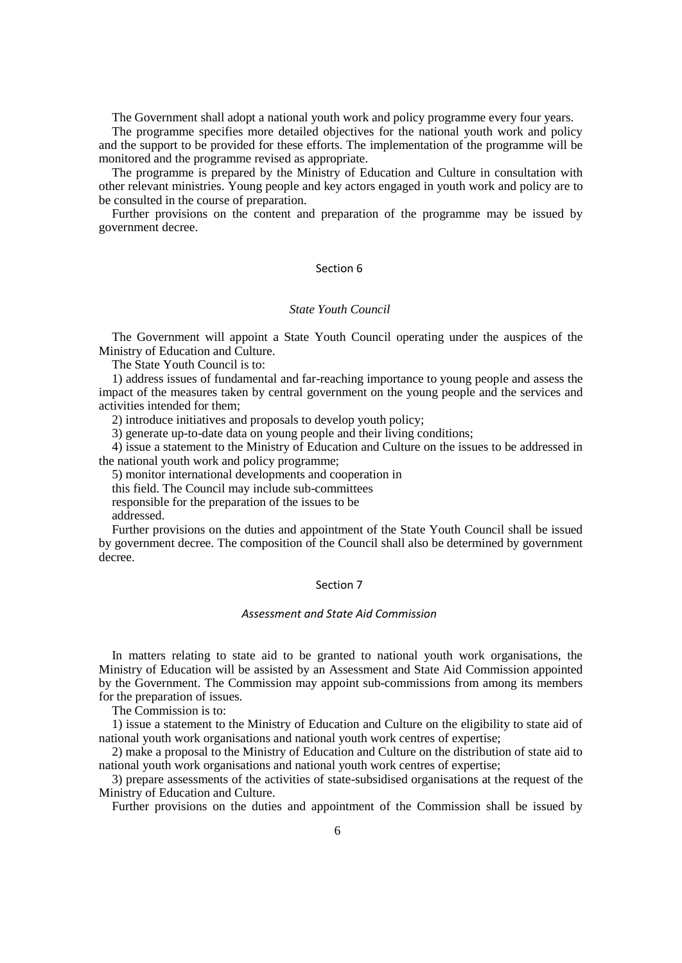The Government shall adopt a national youth work and policy programme every four years.

The programme specifies more detailed objectives for the national youth work and policy and the support to be provided for these efforts. The implementation of the programme will be monitored and the programme revised as appropriate.

The programme is prepared by the Ministry of Education and Culture in consultation with other relevant ministries. Young people and key actors engaged in youth work and policy are to be consulted in the course of preparation.

Further provisions on the content and preparation of the programme may be issued by government decree.

## Section 6

## *State Youth Council*

The Government will appoint a State Youth Council operating under the auspices of the Ministry of Education and Culture.

The State Youth Council is to:

1) address issues of fundamental and far-reaching importance to young people and assess the impact of the measures taken by central government on the young people and the services and activities intended for them;

2) introduce initiatives and proposals to develop youth policy;

3) generate up-to-date data on young people and their living conditions;

4) issue a statement to the Ministry of Education and Culture on the issues to be addressed in the national youth work and policy programme;

5) monitor international developments and cooperation in

this field. The Council may include sub-committees

responsible for the preparation of the issues to be

addressed.

Further provisions on the duties and appointment of the State Youth Council shall be issued by government decree. The composition of the Council shall also be determined by government decree.

## Section 7

### *Assessment and State Aid Commission*

In matters relating to state aid to be granted to national youth work organisations, the Ministry of Education will be assisted by an Assessment and State Aid Commission appointed by the Government. The Commission may appoint sub-commissions from among its members for the preparation of issues.

The Commission is to:

1) issue a statement to the Ministry of Education and Culture on the eligibility to state aid of national youth work organisations and national youth work centres of expertise;

2) make a proposal to the Ministry of Education and Culture on the distribution of state aid to national youth work organisations and national youth work centres of expertise;

3) prepare assessments of the activities of state-subsidised organisations at the request of the Ministry of Education and Culture.

Further provisions on the duties and appointment of the Commission shall be issued by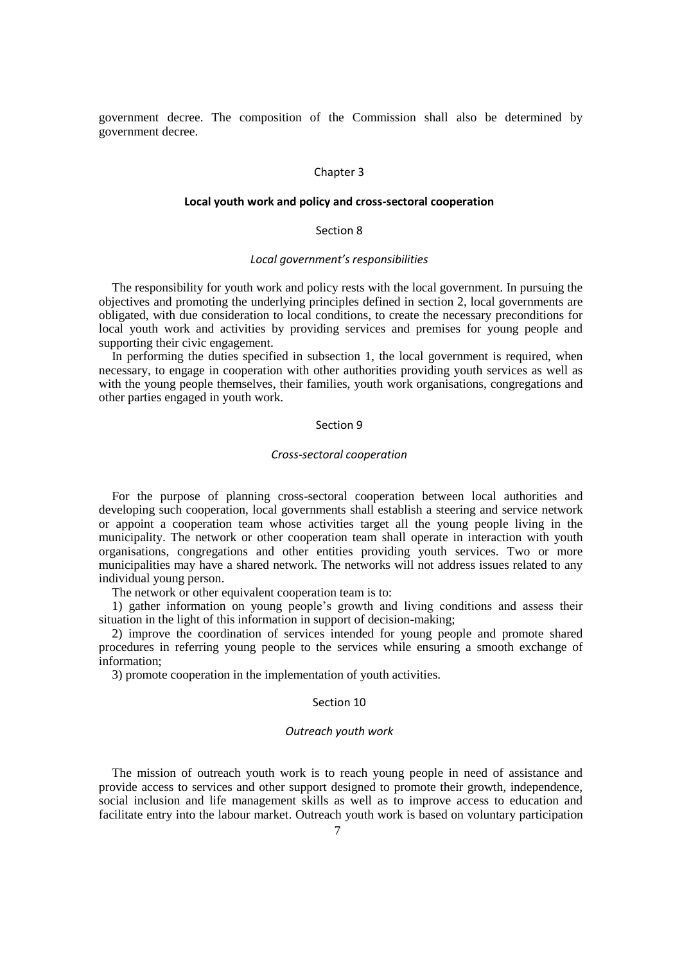government decree. The composition of the Commission shall also be determined by government decree.

## Chapter 3

## **Local youth work and policy and cross-sectoral cooperation**

## Section 8

## *Local government's responsibilities*

The responsibility for youth work and policy rests with the local government. In pursuing the objectives and promoting the underlying principles defined in section 2, local governments are obligated, with due consideration to local conditions, to create the necessary preconditions for local youth work and activities by providing services and premises for young people and supporting their civic engagement.

In performing the duties specified in subsection 1, the local government is required, when necessary, to engage in cooperation with other authorities providing youth services as well as with the young people themselves, their families, youth work organisations, congregations and other parties engaged in youth work.

#### Section 9

#### *Cross-sectoral cooperation*

For the purpose of planning cross-sectoral cooperation between local authorities and developing such cooperation, local governments shall establish a steering and service network or appoint a cooperation team whose activities target all the young people living in the municipality. The network or other cooperation team shall operate in interaction with youth organisations, congregations and other entities providing youth services. Two or more municipalities may have a shared network. The networks will not address issues related to any individual young person.

The network or other equivalent cooperation team is to:

1) gather information on young people's growth and living conditions and assess their situation in the light of this information in support of decision-making;

2) improve the coordination of services intended for young people and promote shared procedures in referring young people to the services while ensuring a smooth exchange of information;

3) promote cooperation in the implementation of youth activities.

#### Section 10

#### *Outreach youth work*

The mission of outreach youth work is to reach young people in need of assistance and provide access to services and other support designed to promote their growth, independence, social inclusion and life management skills as well as to improve access to education and facilitate entry into the labour market. Outreach youth work is based on voluntary participation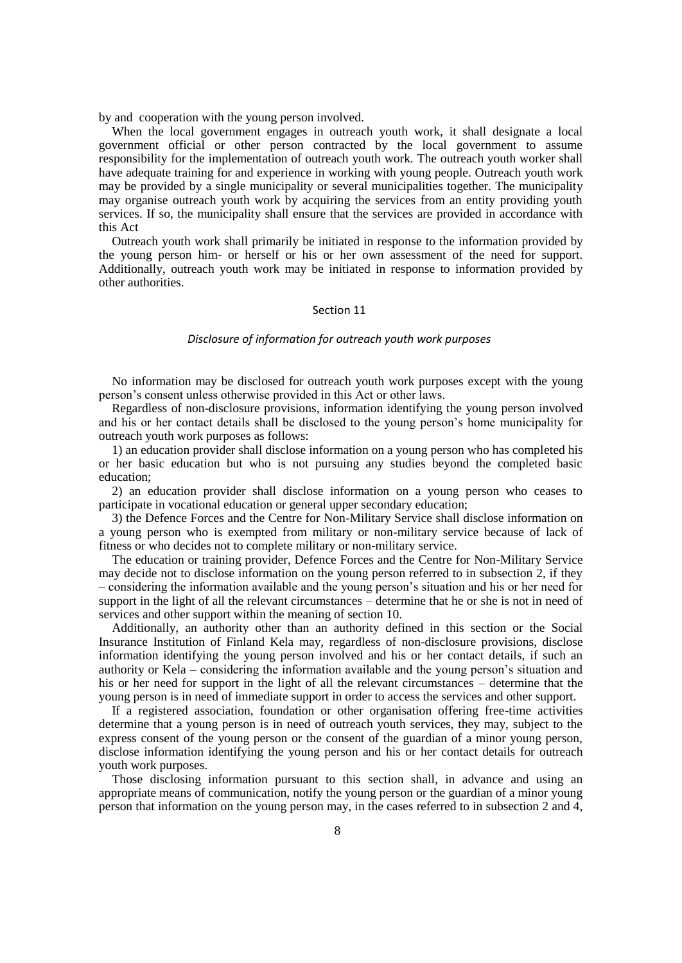by and cooperation with the young person involved.

When the local government engages in outreach youth work, it shall designate a local government official or other person contracted by the local government to assume responsibility for the implementation of outreach youth work. The outreach youth worker shall have adequate training for and experience in working with young people. Outreach youth work may be provided by a single municipality or several municipalities together. The municipality may organise outreach youth work by acquiring the services from an entity providing youth services. If so, the municipality shall ensure that the services are provided in accordance with this Act

Outreach youth work shall primarily be initiated in response to the information provided by the young person him- or herself or his or her own assessment of the need for support. Additionally, outreach youth work may be initiated in response to information provided by other authorities.

#### Section 11

#### *Disclosure of information for outreach youth work purposes*

No information may be disclosed for outreach youth work purposes except with the young person's consent unless otherwise provided in this Act or other laws.

Regardless of non-disclosure provisions, information identifying the young person involved and his or her contact details shall be disclosed to the young person's home municipality for outreach youth work purposes as follows:

1) an education provider shall disclose information on a young person who has completed his or her basic education but who is not pursuing any studies beyond the completed basic education;

2) an education provider shall disclose information on a young person who ceases to participate in vocational education or general upper secondary education;

3) the Defence Forces and the Centre for Non-Military Service shall disclose information on a young person who is exempted from military or non-military service because of lack of fitness or who decides not to complete military or non-military service.

The education or training provider, Defence Forces and the Centre for Non-Military Service may decide not to disclose information on the young person referred to in subsection 2, if they – considering the information available and the young person's situation and his or her need for support in the light of all the relevant circumstances – determine that he or she is not in need of services and other support within the meaning of section 10.

Additionally, an authority other than an authority defined in this section or the Social Insurance Institution of Finland Kela may, regardless of non-disclosure provisions, disclose information identifying the young person involved and his or her contact details, if such an authority or Kela – considering the information available and the young person's situation and his or her need for support in the light of all the relevant circumstances – determine that the young person is in need of immediate support in order to access the services and other support.

If a registered association, foundation or other organisation offering free-time activities determine that a young person is in need of outreach youth services, they may, subject to the express consent of the young person or the consent of the guardian of a minor young person, disclose information identifying the young person and his or her contact details for outreach youth work purposes.

Those disclosing information pursuant to this section shall, in advance and using an appropriate means of communication, notify the young person or the guardian of a minor young person that information on the young person may, in the cases referred to in subsection 2 and 4,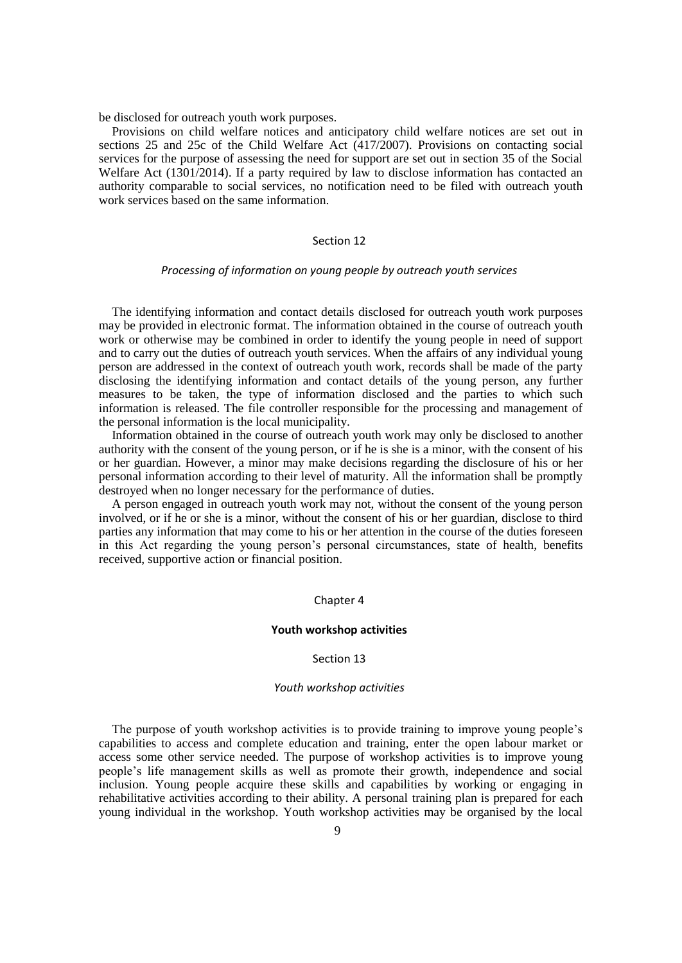be disclosed for outreach youth work purposes.

Provisions on child welfare notices and anticipatory child welfare notices are set out in sections 25 and 25c of the Child Welfare Act (417/2007). Provisions on contacting social services for the purpose of assessing the need for support are set out in section 35 of the Social Welfare Act (1301/2014). If a party required by law to disclose information has contacted an authority comparable to social services, no notification need to be filed with outreach youth work services based on the same information.

## Section 12

## *Processing of information on young people by outreach youth services*

The identifying information and contact details disclosed for outreach youth work purposes may be provided in electronic format. The information obtained in the course of outreach youth work or otherwise may be combined in order to identify the young people in need of support and to carry out the duties of outreach youth services. When the affairs of any individual young person are addressed in the context of outreach youth work, records shall be made of the party disclosing the identifying information and contact details of the young person, any further measures to be taken, the type of information disclosed and the parties to which such information is released. The file controller responsible for the processing and management of the personal information is the local municipality.

Information obtained in the course of outreach youth work may only be disclosed to another authority with the consent of the young person, or if he is she is a minor, with the consent of his or her guardian. However, a minor may make decisions regarding the disclosure of his or her personal information according to their level of maturity. All the information shall be promptly destroyed when no longer necessary for the performance of duties.

A person engaged in outreach youth work may not, without the consent of the young person involved, or if he or she is a minor, without the consent of his or her guardian, disclose to third parties any information that may come to his or her attention in the course of the duties foreseen in this Act regarding the young person's personal circumstances, state of health, benefits received, supportive action or financial position.

## Chapter 4

#### **Youth workshop activities**

## Section 13

## *Youth workshop activities*

The purpose of youth workshop activities is to provide training to improve young people's capabilities to access and complete education and training, enter the open labour market or access some other service needed. The purpose of workshop activities is to improve young people's life management skills as well as promote their growth, independence and social inclusion. Young people acquire these skills and capabilities by working or engaging in rehabilitative activities according to their ability. A personal training plan is prepared for each young individual in the workshop. Youth workshop activities may be organised by the local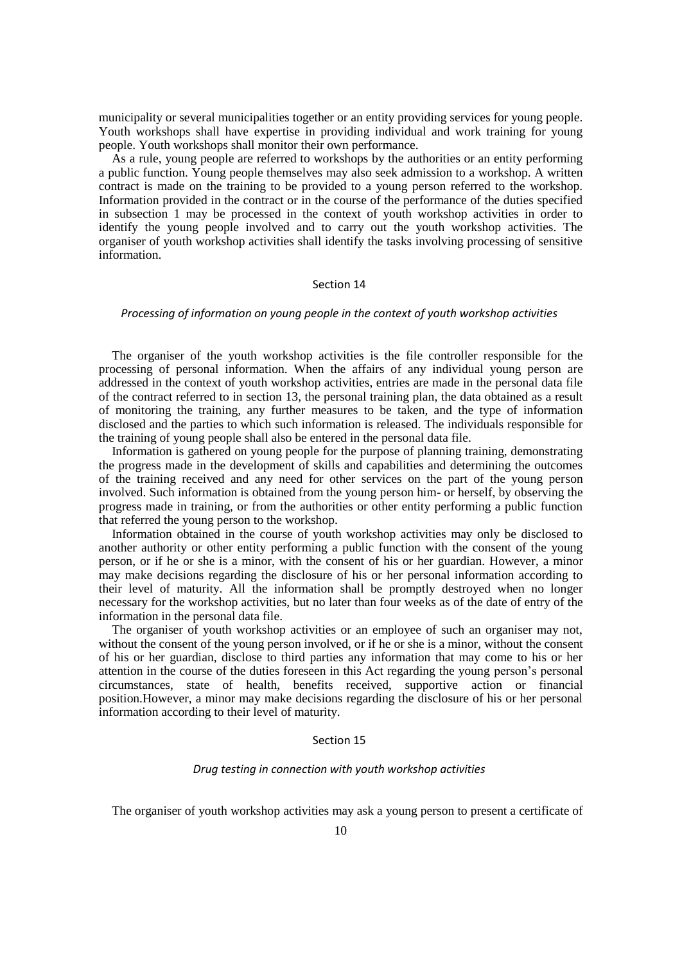municipality or several municipalities together or an entity providing services for young people. Youth workshops shall have expertise in providing individual and work training for young people. Youth workshops shall monitor their own performance.

As a rule, young people are referred to workshops by the authorities or an entity performing a public function. Young people themselves may also seek admission to a workshop. A written contract is made on the training to be provided to a young person referred to the workshop. Information provided in the contract or in the course of the performance of the duties specified in subsection 1 may be processed in the context of youth workshop activities in order to identify the young people involved and to carry out the youth workshop activities. The organiser of youth workshop activities shall identify the tasks involving processing of sensitive information.

## Section 14

## *Processing of information on young people in the context of youth workshop activities*

The organiser of the youth workshop activities is the file controller responsible for the processing of personal information. When the affairs of any individual young person are addressed in the context of youth workshop activities, entries are made in the personal data file of the contract referred to in section 13, the personal training plan, the data obtained as a result of monitoring the training, any further measures to be taken, and the type of information disclosed and the parties to which such information is released. The individuals responsible for the training of young people shall also be entered in the personal data file.

Information is gathered on young people for the purpose of planning training, demonstrating the progress made in the development of skills and capabilities and determining the outcomes of the training received and any need for other services on the part of the young person involved. Such information is obtained from the young person him- or herself, by observing the progress made in training, or from the authorities or other entity performing a public function that referred the young person to the workshop.

Information obtained in the course of youth workshop activities may only be disclosed to another authority or other entity performing a public function with the consent of the young person, or if he or she is a minor, with the consent of his or her guardian. However, a minor may make decisions regarding the disclosure of his or her personal information according to their level of maturity. All the information shall be promptly destroyed when no longer necessary for the workshop activities, but no later than four weeks as of the date of entry of the information in the personal data file.

The organiser of youth workshop activities or an employee of such an organiser may not, without the consent of the young person involved, or if he or she is a minor, without the consent of his or her guardian, disclose to third parties any information that may come to his or her attention in the course of the duties foreseen in this Act regarding the young person's personal circumstances, state of health, benefits received, supportive action or financial position.However, a minor may make decisions regarding the disclosure of his or her personal information according to their level of maturity.

## Section 15

## *Drug testing in connection with youth workshop activities*

The organiser of youth workshop activities may ask a young person to present a certificate of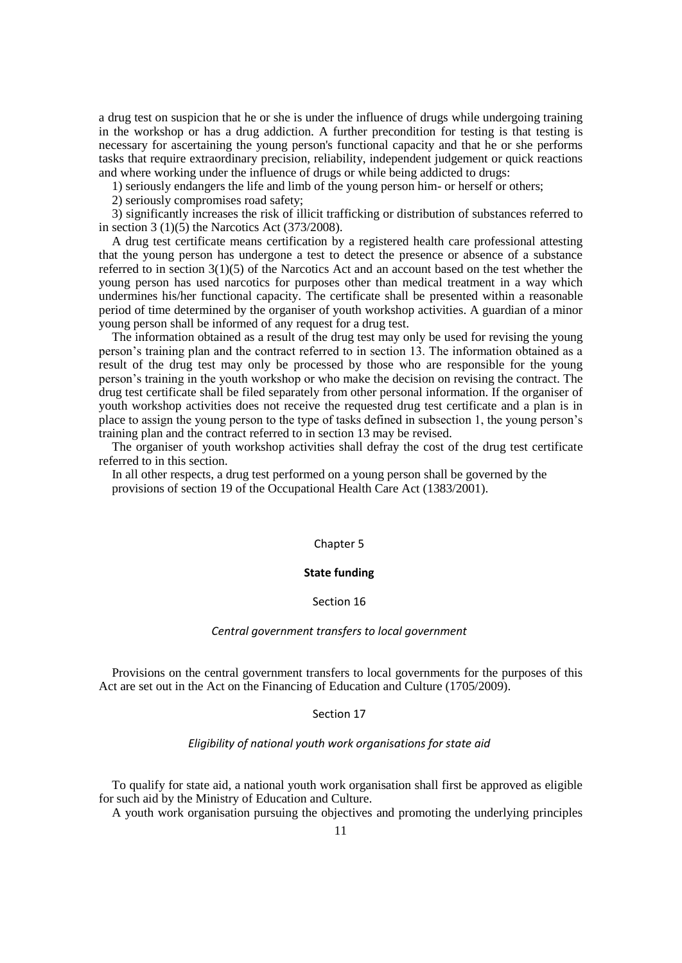a drug test on suspicion that he or she is under the influence of drugs while undergoing training in the workshop or has a drug addiction. A further precondition for testing is that testing is necessary for ascertaining the young person's functional capacity and that he or she performs tasks that require extraordinary precision, reliability, independent judgement or quick reactions and where working under the influence of drugs or while being addicted to drugs:

1) seriously endangers the life and limb of the young person him- or herself or others;

2) seriously compromises road safety;

3) significantly increases the risk of illicit trafficking or distribution of substances referred to in section 3 (1)(5) the Narcotics Act (373/2008).

A drug test certificate means certification by a registered health care professional attesting that the young person has undergone a test to detect the presence or absence of a substance referred to in section 3(1)(5) of the Narcotics Act and an account based on the test whether the young person has used narcotics for purposes other than medical treatment in a way which undermines his/her functional capacity. The certificate shall be presented within a reasonable period of time determined by the organiser of youth workshop activities. A guardian of a minor young person shall be informed of any request for a drug test.

The information obtained as a result of the drug test may only be used for revising the young person's training plan and the contract referred to in section 13. The information obtained as a result of the drug test may only be processed by those who are responsible for the young person's training in the youth workshop or who make the decision on revising the contract. The drug test certificate shall be filed separately from other personal information. If the organiser of youth workshop activities does not receive the requested drug test certificate and a plan is in place to assign the young person to the type of tasks defined in subsection 1, the young person's training plan and the contract referred to in section 13 may be revised.

The organiser of youth workshop activities shall defray the cost of the drug test certificate referred to in this section.

In all other respects, a drug test performed on a young person shall be governed by the provisions of section 19 of the Occupational Health Care Act (1383/2001).

## Chapter 5

## **State funding**

#### Section 16

## *Central government transfers to local government*

Provisions on the central government transfers to local governments for the purposes of this Act are set out in the Act on the Financing of Education and Culture (1705/2009).

#### Section 17

## *Eligibility of national youth work organisations for state aid*

To qualify for state aid, a national youth work organisation shall first be approved as eligible for such aid by the Ministry of Education and Culture.

A youth work organisation pursuing the objectives and promoting the underlying principles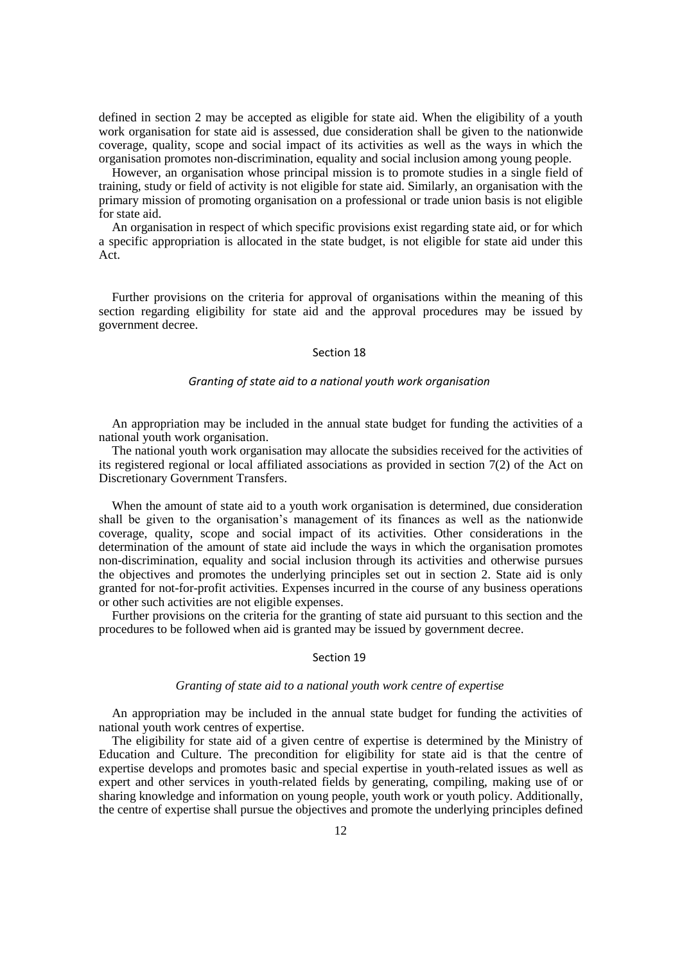defined in section 2 may be accepted as eligible for state aid. When the eligibility of a youth work organisation for state aid is assessed, due consideration shall be given to the nationwide coverage, quality, scope and social impact of its activities as well as the ways in which the organisation promotes non-discrimination, equality and social inclusion among young people.

However, an organisation whose principal mission is to promote studies in a single field of training, study or field of activity is not eligible for state aid. Similarly, an organisation with the primary mission of promoting organisation on a professional or trade union basis is not eligible for state aid.

An organisation in respect of which specific provisions exist regarding state aid, or for which a specific appropriation is allocated in the state budget, is not eligible for state aid under this Act.

Further provisions on the criteria for approval of organisations within the meaning of this section regarding eligibility for state aid and the approval procedures may be issued by government decree.

#### Section 18

## *Granting of state aid to a national youth work organisation*

An appropriation may be included in the annual state budget for funding the activities of a national youth work organisation.

The national youth work organisation may allocate the subsidies received for the activities of its registered regional or local affiliated associations as provided in section 7(2) of the Act on Discretionary Government Transfers.

When the amount of state aid to a youth work organisation is determined, due consideration shall be given to the organisation's management of its finances as well as the nationwide coverage, quality, scope and social impact of its activities. Other considerations in the determination of the amount of state aid include the ways in which the organisation promotes non-discrimination, equality and social inclusion through its activities and otherwise pursues the objectives and promotes the underlying principles set out in section 2. State aid is only granted for not-for-profit activities. Expenses incurred in the course of any business operations or other such activities are not eligible expenses.

Further provisions on the criteria for the granting of state aid pursuant to this section and the procedures to be followed when aid is granted may be issued by government decree.

#### Section 19

## *Granting of state aid to a national youth work centre of expertise*

An appropriation may be included in the annual state budget for funding the activities of national youth work centres of expertise.

The eligibility for state aid of a given centre of expertise is determined by the Ministry of Education and Culture. The precondition for eligibility for state aid is that the centre of expertise develops and promotes basic and special expertise in youth-related issues as well as expert and other services in youth-related fields by generating, compiling, making use of or sharing knowledge and information on young people, youth work or youth policy. Additionally, the centre of expertise shall pursue the objectives and promote the underlying principles defined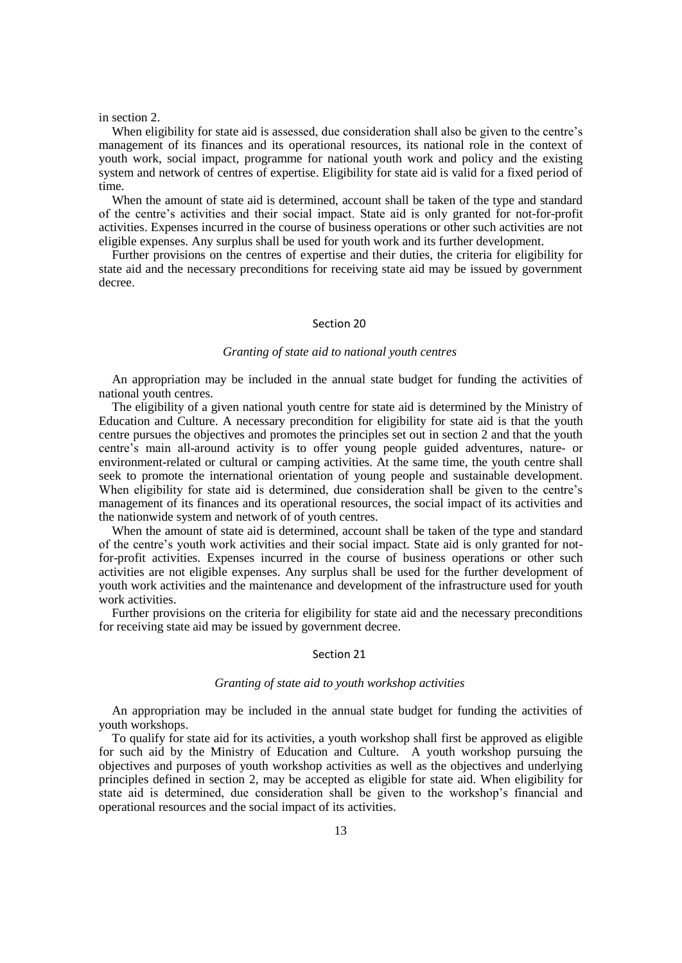#### in section 2.

When eligibility for state aid is assessed, due consideration shall also be given to the centre's management of its finances and its operational resources, its national role in the context of youth work, social impact, programme for national youth work and policy and the existing system and network of centres of expertise. Eligibility for state aid is valid for a fixed period of time.

When the amount of state aid is determined, account shall be taken of the type and standard of the centre's activities and their social impact. State aid is only granted for not-for-profit activities. Expenses incurred in the course of business operations or other such activities are not eligible expenses. Any surplus shall be used for youth work and its further development.

Further provisions on the centres of expertise and their duties, the criteria for eligibility for state aid and the necessary preconditions for receiving state aid may be issued by government decree.

#### Section 20

#### *Granting of state aid to national youth centres*

An appropriation may be included in the annual state budget for funding the activities of national youth centres.

The eligibility of a given national youth centre for state aid is determined by the Ministry of Education and Culture. A necessary precondition for eligibility for state aid is that the youth centre pursues the objectives and promotes the principles set out in section 2 and that the youth centre's main all-around activity is to offer young people guided adventures, nature- or environment-related or cultural or camping activities. At the same time, the youth centre shall seek to promote the international orientation of young people and sustainable development. When eligibility for state aid is determined, due consideration shall be given to the centre's management of its finances and its operational resources, the social impact of its activities and the nationwide system and network of of youth centres.

When the amount of state aid is determined, account shall be taken of the type and standard of the centre's youth work activities and their social impact. State aid is only granted for notfor-profit activities. Expenses incurred in the course of business operations or other such activities are not eligible expenses. Any surplus shall be used for the further development of youth work activities and the maintenance and development of the infrastructure used for youth work activities.

Further provisions on the criteria for eligibility for state aid and the necessary preconditions for receiving state aid may be issued by government decree.

#### Section 21

## *Granting of state aid to youth workshop activities*

An appropriation may be included in the annual state budget for funding the activities of youth workshops.

To qualify for state aid for its activities, a youth workshop shall first be approved as eligible for such aid by the Ministry of Education and Culture. A youth workshop pursuing the objectives and purposes of youth workshop activities as well as the objectives and underlying principles defined in section 2, may be accepted as eligible for state aid. When eligibility for state aid is determined, due consideration shall be given to the workshop's financial and operational resources and the social impact of its activities.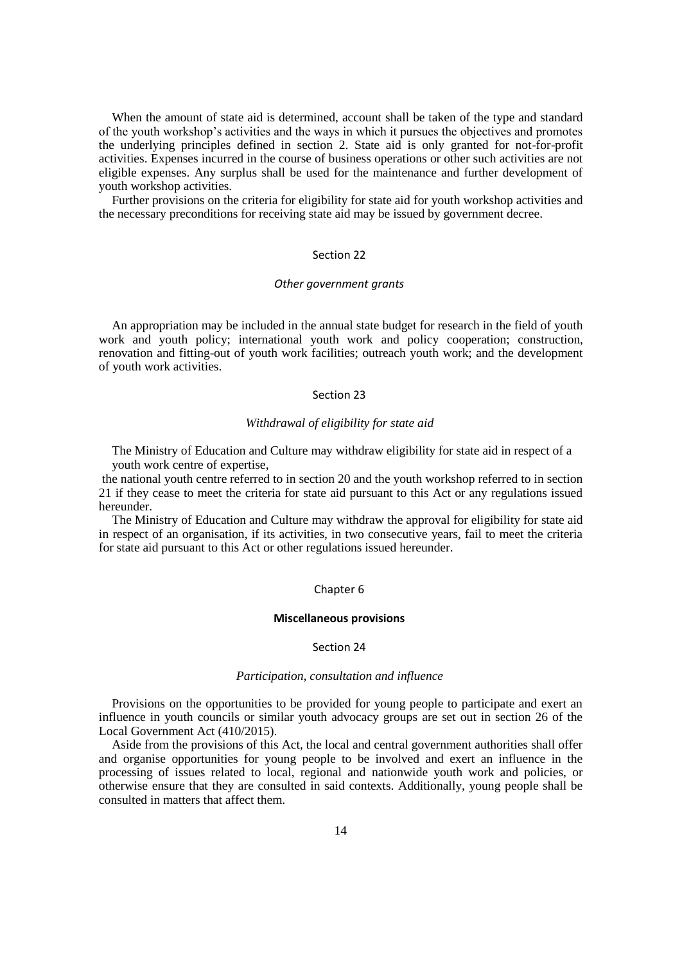When the amount of state aid is determined, account shall be taken of the type and standard of the youth workshop's activities and the ways in which it pursues the objectives and promotes the underlying principles defined in section 2. State aid is only granted for not-for-profit activities. Expenses incurred in the course of business operations or other such activities are not eligible expenses. Any surplus shall be used for the maintenance and further development of youth workshop activities.

Further provisions on the criteria for eligibility for state aid for youth workshop activities and the necessary preconditions for receiving state aid may be issued by government decree.

## Section 22

## *Other government grants*

An appropriation may be included in the annual state budget for research in the field of youth work and youth policy; international youth work and policy cooperation; construction, renovation and fitting-out of youth work facilities; outreach youth work; and the development of youth work activities.

## Section 23

## *Withdrawal of eligibility for state aid*

The Ministry of Education and Culture may withdraw eligibility for state aid in respect of a youth work centre of expertise,

the national youth centre referred to in section 20 and the youth workshop referred to in section 21 if they cease to meet the criteria for state aid pursuant to this Act or any regulations issued hereunder.

The Ministry of Education and Culture may withdraw the approval for eligibility for state aid in respect of an organisation, if its activities, in two consecutive years, fail to meet the criteria for state aid pursuant to this Act or other regulations issued hereunder.

### Chapter 6

## **Miscellaneous provisions**

## Section 24

#### *Participation, consultation and influence*

Provisions on the opportunities to be provided for young people to participate and exert an influence in youth councils or similar youth advocacy groups are set out in section 26 of the Local Government Act (410/2015).

Aside from the provisions of this Act, the local and central government authorities shall offer and organise opportunities for young people to be involved and exert an influence in the processing of issues related to local, regional and nationwide youth work and policies, or otherwise ensure that they are consulted in said contexts. Additionally, young people shall be consulted in matters that affect them.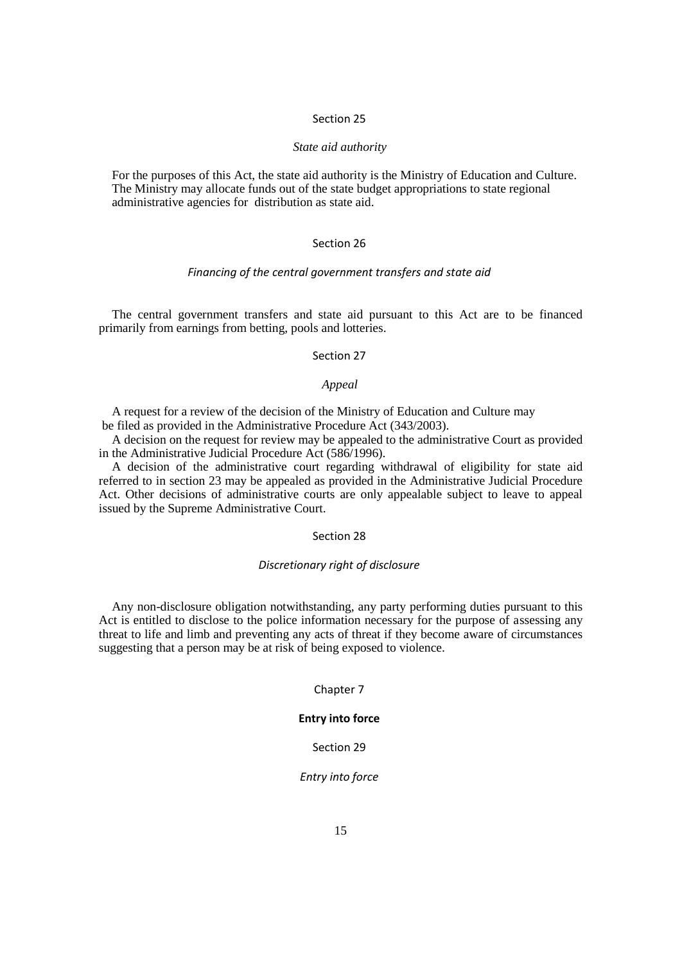## Section 25

## *State aid authority*

For the purposes of this Act, the state aid authority is the Ministry of Education and Culture. The Ministry may allocate funds out of the state budget appropriations to state regional administrative agencies for distribution as state aid.

## Section 26

## *Financing of the central government transfers and state aid*

The central government transfers and state aid pursuant to this Act are to be financed primarily from earnings from betting, pools and lotteries.

### Section 27

## *Appeal*

A request for a review of the decision of the Ministry of Education and Culture may be filed as provided in the Administrative Procedure Act (343/2003).

A decision on the request for review may be appealed to the administrative Court as provided in the Administrative Judicial Procedure Act (586/1996).

A decision of the administrative court regarding withdrawal of eligibility for state aid referred to in section 23 may be appealed as provided in the Administrative Judicial Procedure Act. Other decisions of administrative courts are only appealable subject to leave to appeal issued by the Supreme Administrative Court.

## Section 28

## *Discretionary right of disclosure*

Any non-disclosure obligation notwithstanding, any party performing duties pursuant to this Act is entitled to disclose to the police information necessary for the purpose of assessing any threat to life and limb and preventing any acts of threat if they become aware of circumstances suggesting that a person may be at risk of being exposed to violence.

## Chapter 7

## **Entry into force**

#### Section 29

## *Entry into force*